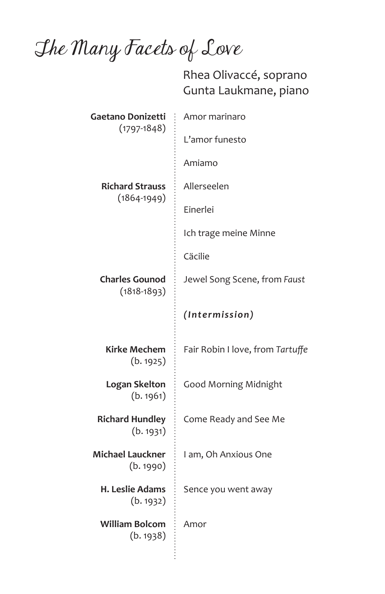The Many Facets of Love

 Rhea Olivaccé, soprano Gunta Laukmane, piano

| Gaetano Donizetti<br>$(1797 - 1848)$      | Amor marinaro                    |
|-------------------------------------------|----------------------------------|
|                                           | L'amor funesto                   |
|                                           | Amiamo                           |
| <b>Richard Strauss</b><br>$(1864 - 1949)$ | Allerseelen                      |
|                                           | Einerlei                         |
|                                           | Ich trage meine Minne            |
|                                           | Cäcilie                          |
| <b>Charles Gounod</b><br>$(1818 - 1893)$  | Jewel Song Scene, from Faust     |
|                                           | (Intermission)                   |
| Kirke Mechem<br>(b.1925)                  | Fair Robin I love, from Tartuffe |
| Logan Skelton<br>(b.1961)                 | <b>Good Morning Midnight</b>     |
| <b>Richard Hundley</b><br>(b. 1931)       | Come Ready and See Me            |
| <b>Michael Lauckner</b><br>(b.1990)       | I am, Oh Anxious One             |
| H. Leslie Adams<br>(b. 1932)              | Sence you went away              |
| William Bolcom<br>(b.1938)                | Amor                             |
|                                           |                                  |